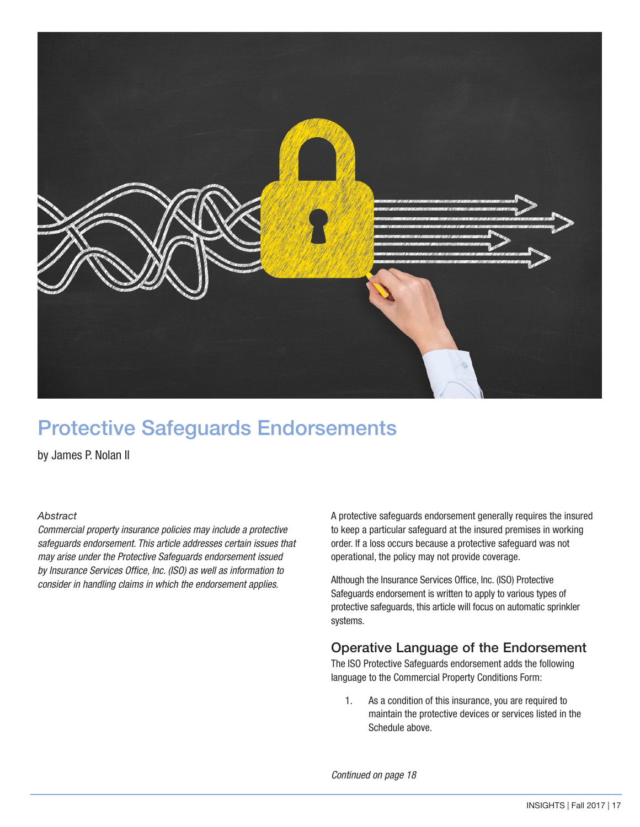

# Protective Safeguards Endorsements

by James P. Nolan II

#### *Abstract*

*Commercial property insurance policies may include a protective safeguards endorsement. This article addresses certain issues that may arise under the Protective Safeguards endorsement issued by Insurance Services Office, Inc. (ISO) as well as information to consider in handling claims in which the endorsement applies.*

A protective safeguards endorsement generally requires the insured to keep a particular safeguard at the insured premises in working order. If a loss occurs because a protective safeguard was not operational, the policy may not provide coverage.

Although the Insurance Services Office, Inc. (ISO) Protective Safeguards endorsement is written to apply to various types of protective safeguards, this article will focus on automatic sprinkler systems.

#### Operative Language of the Endorsement

The ISO Protective Safeguards endorsement adds the following language to the Commercial Property Conditions Form:

1. As a condition of this insurance, you are required to maintain the protective devices or services listed in the Schedule above.

*Continued on page 18*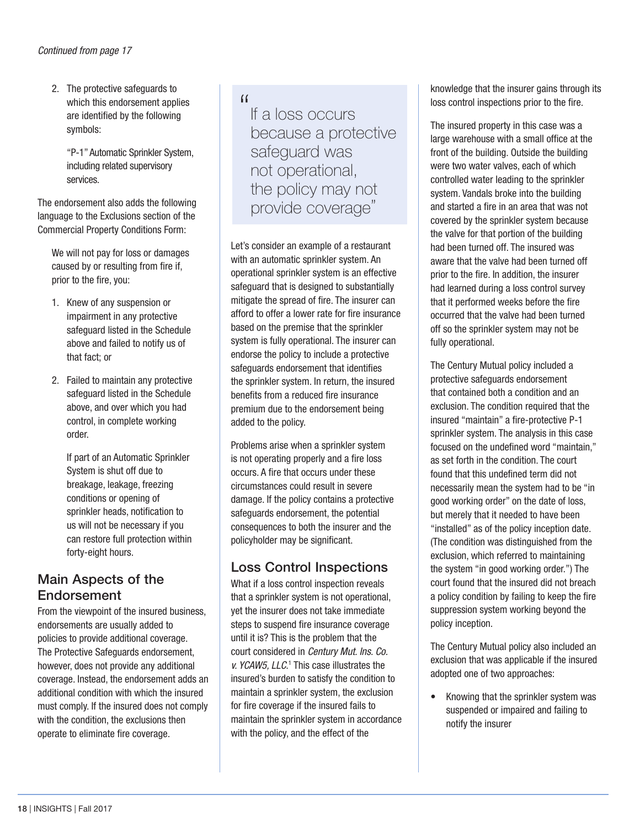2. The protective safeguards to which this endorsement applies are identified by the following symbols:

 "P-1" Automatic Sprinkler System, including related supervisory services.

The endorsement also adds the following language to the Exclusions section of the Commercial Property Conditions Form:

We will not pay for loss or damages caused by or resulting from fire if, prior to the fire, you:

- 1. Knew of any suspension or impairment in any protective safeguard listed in the Schedule above and failed to notify us of that fact; or
- 2. Failed to maintain any protective safeguard listed in the Schedule above, and over which you had control, in complete working order.

 If part of an Automatic Sprinkler System is shut off due to breakage, leakage, freezing conditions or opening of sprinkler heads, notification to us will not be necessary if you can restore full protection within forty-eight hours.

### Main Aspects of the Endorsement

From the viewpoint of the insured business, endorsements are usually added to policies to provide additional coverage. The Protective Safeguards endorsement, however, does not provide any additional coverage. Instead, the endorsement adds an additional condition with which the insured must comply. If the insured does not comply with the condition, the exclusions then operate to eliminate fire coverage.

 $\overline{11}$ 

If a loss occurs because a protective safeguard was not operational, the policy may not provide coverage"

Let's consider an example of a restaurant with an automatic sprinkler system. An operational sprinkler system is an effective safeguard that is designed to substantially mitigate the spread of fire. The insurer can afford to offer a lower rate for fire insurance based on the premise that the sprinkler system is fully operational. The insurer can endorse the policy to include a protective safeguards endorsement that identifies the sprinkler system. In return, the insured benefits from a reduced fire insurance premium due to the endorsement being added to the policy.

Problems arise when a sprinkler system is not operating properly and a fire loss occurs. A fire that occurs under these circumstances could result in severe damage. If the policy contains a protective safeguards endorsement, the potential consequences to both the insurer and the policyholder may be significant.

# Loss Control Inspections

What if a loss control inspection reveals that a sprinkler system is not operational, yet the insurer does not take immediate steps to suspend fire insurance coverage until it is? This is the problem that the court considered in *Century Mut. Ins. Co. v. YCAW5, LLC*.<sup>1</sup> This case illustrates the insured's burden to satisfy the condition to maintain a sprinkler system, the exclusion for fire coverage if the insured fails to maintain the sprinkler system in accordance with the policy, and the effect of the

knowledge that the insurer gains through its loss control inspections prior to the fire.

The insured property in this case was a large warehouse with a small office at the front of the building. Outside the building were two water valves, each of which controlled water leading to the sprinkler system. Vandals broke into the building and started a fire in an area that was not covered by the sprinkler system because the valve for that portion of the building had been turned off. The insured was aware that the valve had been turned off prior to the fire. In addition, the insurer had learned during a loss control survey that it performed weeks before the fire occurred that the valve had been turned off so the sprinkler system may not be fully operational.

The Century Mutual policy included a protective safeguards endorsement that contained both a condition and an exclusion. The condition required that the insured "maintain" a fire-protective P-1 sprinkler system. The analysis in this case focused on the undefined word "maintain," as set forth in the condition. The court found that this undefined term did not necessarily mean the system had to be "in good working order" on the date of loss, but merely that it needed to have been "installed" as of the policy inception date. (The condition was distinguished from the exclusion, which referred to maintaining the system "in good working order.") The court found that the insured did not breach a policy condition by failing to keep the fire suppression system working beyond the policy inception.

The Century Mutual policy also included an exclusion that was applicable if the insured adopted one of two approaches:

• Knowing that the sprinkler system was suspended or impaired and failing to notify the insurer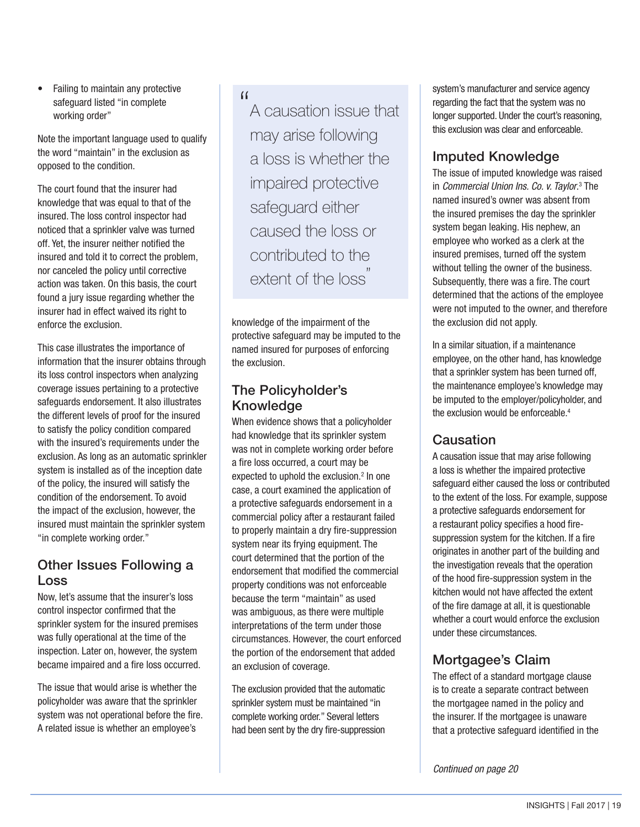• Failing to maintain any protective safeguard listed "in complete working order"

Note the important language used to qualify the word "maintain" in the exclusion as opposed to the condition.

The court found that the insurer had knowledge that was equal to that of the insured. The loss control inspector had noticed that a sprinkler valve was turned off. Yet, the insurer neither notified the insured and told it to correct the problem, nor canceled the policy until corrective action was taken. On this basis, the court found a jury issue regarding whether the insurer had in effect waived its right to enforce the exclusion.

This case illustrates the importance of information that the insurer obtains through its loss control inspectors when analyzing coverage issues pertaining to a protective safeguards endorsement. It also illustrates the different levels of proof for the insured to satisfy the policy condition compared with the insured's requirements under the exclusion. As long as an automatic sprinkler system is installed as of the inception date of the policy, the insured will satisfy the condition of the endorsement. To avoid the impact of the exclusion, however, the insured must maintain the sprinkler system "in complete working order."

### Other Issues Following a Loss

Now, let's assume that the insurer's loss control inspector confirmed that the sprinkler system for the insured premises was fully operational at the time of the inspection. Later on, however, the system became impaired and a fire loss occurred.

The issue that would arise is whether the policyholder was aware that the sprinkler system was not operational before the fire. A related issue is whether an employee's

#### $\lceil$

A causation issue that may arise following a loss is whether the impaired protective safeguard either caused the loss or contributed to the extent of the loss<sup>"</sup>

knowledge of the impairment of the protective safeguard may be imputed to the named insured for purposes of enforcing the exclusion.

# The Policyholder's Knowledge

When evidence shows that a policyholder had knowledge that its sprinkler system was not in complete working order before a fire loss occurred, a court may be expected to uphold the exclusion.<sup>2</sup> In one case, a court examined the application of a protective safeguards endorsement in a commercial policy after a restaurant failed to properly maintain a dry fire-suppression system near its frying equipment. The court determined that the portion of the endorsement that modified the commercial property conditions was not enforceable because the term "maintain" as used was ambiguous, as there were multiple interpretations of the term under those circumstances. However, the court enforced the portion of the endorsement that added an exclusion of coverage.

The exclusion provided that the automatic sprinkler system must be maintained "in complete working order." Several letters had been sent by the dry fire-suppression

system's manufacturer and service agency regarding the fact that the system was no longer supported. Under the court's reasoning, this exclusion was clear and enforceable.

# Imputed Knowledge

The issue of imputed knowledge was raised in *Commercial Union Ins. Co. v. Taylor*. 3 The named insured's owner was absent from the insured premises the day the sprinkler system began leaking. His nephew, an employee who worked as a clerk at the insured premises, turned off the system without telling the owner of the business. Subsequently, there was a fire. The court determined that the actions of the employee were not imputed to the owner, and therefore the exclusion did not apply.

In a similar situation, if a maintenance employee, on the other hand, has knowledge that a sprinkler system has been turned off, the maintenance employee's knowledge may be imputed to the employer/policyholder, and the exclusion would be enforceable.<sup>4</sup>

# **Causation**

A causation issue that may arise following a loss is whether the impaired protective safeguard either caused the loss or contributed to the extent of the loss. For example, suppose a protective safeguards endorsement for a restaurant policy specifies a hood firesuppression system for the kitchen. If a fire originates in another part of the building and the investigation reveals that the operation of the hood fire-suppression system in the kitchen would not have affected the extent of the fire damage at all, it is questionable whether a court would enforce the exclusion under these circumstances.

# Mortgagee's Claim

The effect of a standard mortgage clause is to create a separate contract between the mortgagee named in the policy and the insurer. If the mortgagee is unaware that a protective safeguard identified in the

*Continued on page 20*